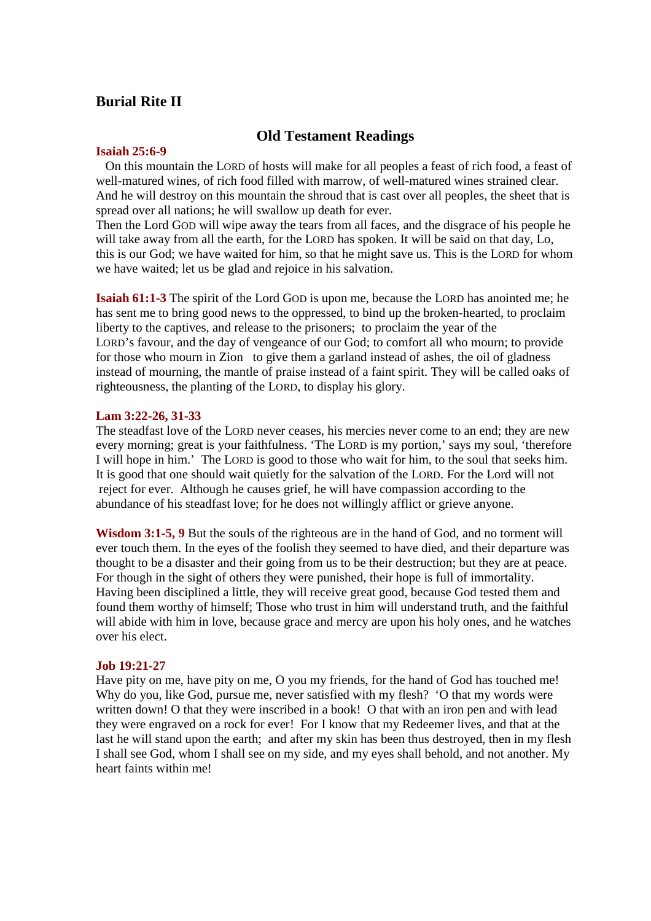# **Burial Rite II**

## **Old Testament Readings**

## **Isaiah 25:6-9**

On this mountain the LORD of hosts will make for all peoples a feast of rich food, a feast of well-matured wines, of rich food filled with marrow, of well-matured wines strained clear. And he will destroy on this mountain the shroud that is cast over all peoples, the sheet that is spread over all nations; he will swallow up death for ever.

Then the Lord GOD will wipe away the tears from all faces, and the disgrace of his people he will take away from all the earth, for the LORD has spoken. It will be said on that day, Lo, this is our God; we have waited for him, so that he might save us. This is the LORD for whom we have waited; let us be glad and rejoice in his salvation.

**Isaiah 61:1-3** The spirit of the Lord GOD is upon me, because the LORD has anointed me; he has sent me to bring good news to the oppressed, to bind up the broken-hearted, to proclaim liberty to the captives, and release to the prisoners; to proclaim the year of the LORD's favour, and the day of vengeance of our God; to comfort all who mourn; to provide for those who mourn in Zion to give them a garland instead of ashes, the oil of gladness instead of mourning, the mantle of praise instead of a faint spirit. They will be called oaks of righteousness, the planting of the LORD, to display his glory.

### **Lam 3:22-26, 31-33**

The steadfast love of the LORD never ceases, his mercies never come to an end; they are new every morning; great is your faithfulness. 'The LORD is my portion,' says my soul, 'therefore I will hope in him.' The LORD is good to those who wait for him, to the soul that seeks him. It is good that one should wait quietly for the salvation of the LORD. For the Lord will not reject for ever. Although he causes grief, he will have compassion according to the abundance of his steadfast love; for he does not willingly afflict or grieve anyone.

**Wisdom 3:1-5, 9** But the souls of the righteous are in the hand of God, and no torment will ever touch them. In the eyes of the foolish they seemed to have died, and their departure was thought to be a disaster and their going from us to be their destruction; but they are at peace. For though in the sight of others they were punished, their hope is full of immortality. Having been disciplined a little, they will receive great good, because God tested them and found them worthy of himself; Those who trust in him will understand truth, and the faithful will abide with him in love, because grace and mercy are upon his holy ones, and he watches over his elect.

### **Job 19:21-27**

Have pity on me, have pity on me, O you my friends, for the hand of God has touched me! Why do you, like God, pursue me, never satisfied with my flesh? 'O that my words were written down! O that they were inscribed in a book! O that with an iron pen and with lead they were engraved on a rock for ever! For I know that my Redeemer lives, and that at the last he will stand upon the earth; and after my skin has been thus destroyed, then in my flesh I shall see God, whom I shall see on my side, and my eyes shall behold, and not another. My heart faints within me!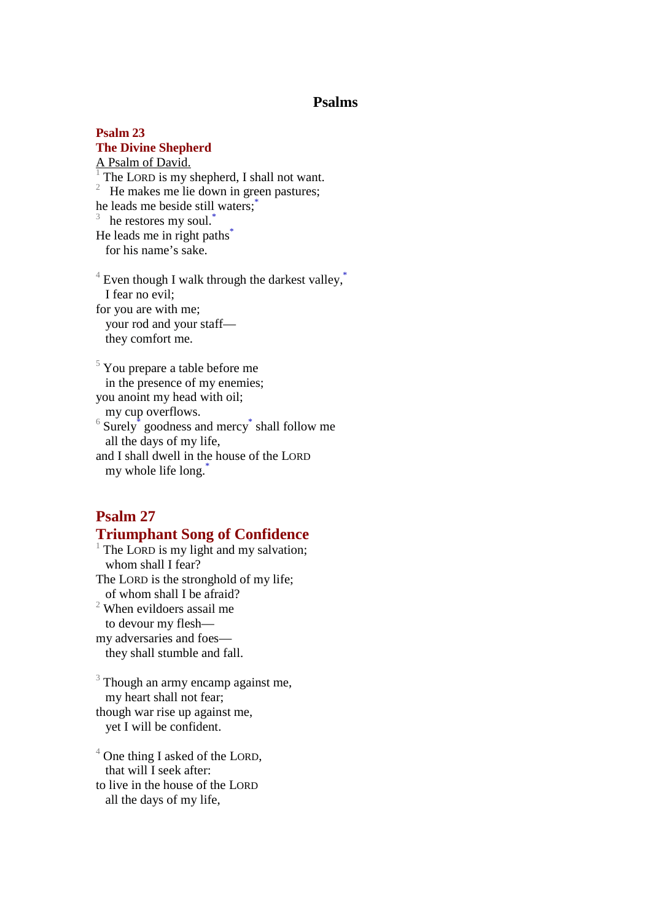## **Psalms**

# **Psalm 23 The Divine Shepherd**

A Psalm of David.  $<sup>1</sup>$  The LORD is my shepherd, I shall not want.</sup> 2 He makes me lie down in green pastures; he leads me beside still waters;<sup>\*</sup> 3 he restores my soul.<sup>\*</sup> He leads me in right paths<sup>\*</sup> for his name's sake.  $4$  Even though I walk through the darkest valley, $*$ 

 I fear no evil; for you are with me; your rod and your staff they comfort me.

 $5$  You prepare a table before me in the presence of my enemies; you anoint my head with oil; my cup overflows.  $6$  Surely<sup>\*</sup> goodness and mercy<sup>\*</sup> shall follow me all the days of my life, and I shall dwell in the house of the LORD my whole life long.<sup>\*</sup>

# **Psalm 27**

# **Triumphant Song of Confidence**

<sup>1</sup> The LORD is my light and my salvation; whom shall I fear? The LORD is the stronghold of my life; of whom shall I be afraid? 2 When evildoers assail me to devour my flesh my adversaries and foes they shall stumble and fall.

 $3$  Though an army encamp against me, my heart shall not fear; though war rise up against me, yet I will be confident.

<sup>4</sup> One thing I asked of the LORD, that will I seek after: to live in the house of the LORD all the days of my life,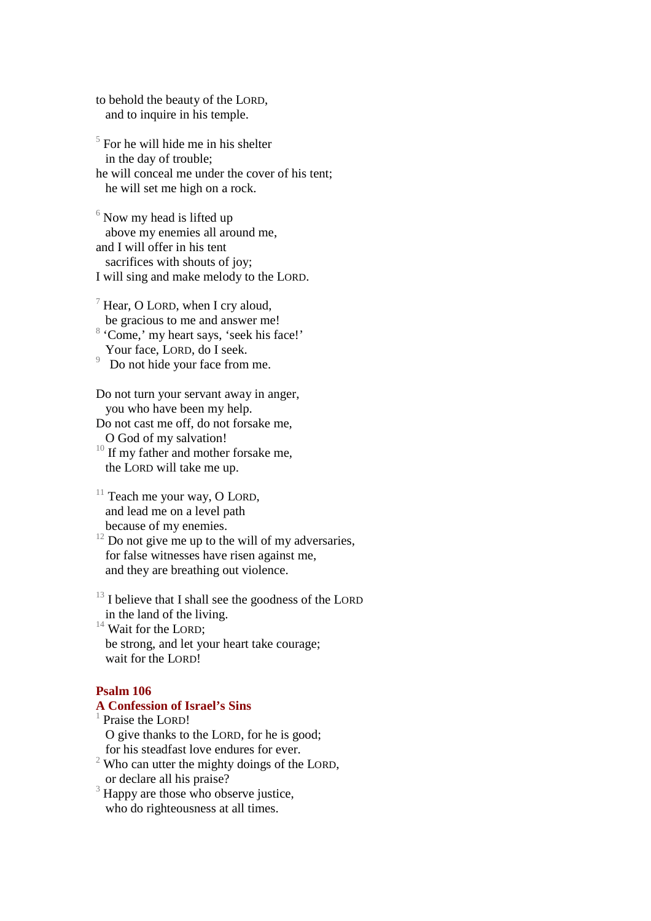to behold the beauty of the LORD, and to inquire in his temple.

 $<sup>5</sup>$  For he will hide me in his shelter</sup> in the day of trouble; he will conceal me under the cover of his tent; he will set me high on a rock.

 $6$  Now my head is lifted up above my enemies all around me, and I will offer in his tent sacrifices with shouts of joy; I will sing and make melody to the LORD.

 $\sqrt{7}$  Hear, O LORD, when I cry aloud, be gracious to me and answer me!

<sup>8</sup> 'Come,' my heart says, 'seek his face!' Your face, LORD, do I seek.

<sup>9</sup> Do not hide your face from me.

Do not turn your servant away in anger, you who have been my help.

Do not cast me off, do not forsake me, O God of my salvation!

 $10$  If my father and mother forsake me, the LORD will take me up.

 $11$  Teach me your way, O LORD, and lead me on a level path because of my enemies.

 $12$  Do not give me up to the will of my adversaries, for false witnesses have risen against me, and they are breathing out violence.

<sup>13</sup> I believe that I shall see the goodness of the LORD in the land of the living.

 $14$  Wait for the LORD; be strong, and let your heart take courage; wait for the LORD!

# **Psalm 106**

# **A Confession of Israel's Sins**

<sup>1</sup> Praise the LORD! O give thanks to the LORD, for he is good; for his steadfast love endures for ever.

 $2^2$  Who can utter the mighty doings of the LORD, or declare all his praise?

<sup>3</sup> Happy are those who observe justice, who do righteousness at all times.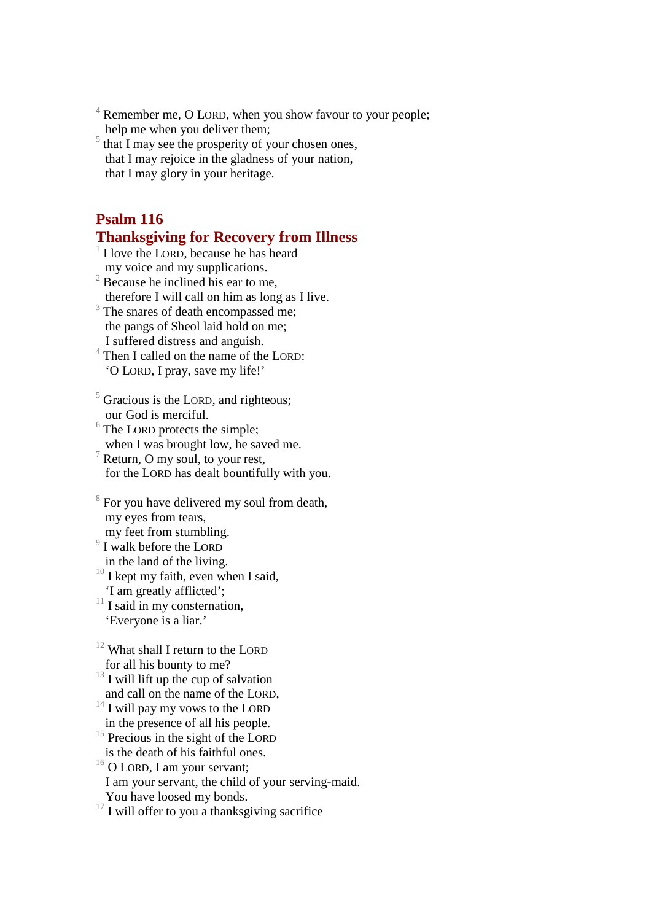<sup>4</sup> Remember me, O LORD, when you show favour to your people; help me when you deliver them;

- $5$  that I may see the prosperity of your chosen ones,
- that I may rejoice in the gladness of your nation,
- that I may glory in your heritage.

# **Psalm 116**

# **Thanksgiving for Recovery from Illness**

- <sup>1</sup> I love the LORD, because he has heard my voice and my supplications.
- <sup>2</sup> Because he inclined his ear to me, therefore I will call on him as long as I live.
- <sup>3</sup> The snares of death encompassed me; the pangs of Sheol laid hold on me; I suffered distress and anguish.
- 4 Then I called on the name of the LORD: 'O LORD, I pray, save my life!'
- $<sup>5</sup>$  Gracious is the LORD, and righteous;</sup> our God is merciful.
- $6$  The LORD protects the simple; when I was brought low, he saved me.
- 7 Return, O my soul, to your rest, for the LORD has dealt bountifully with you.
- <sup>8</sup> For you have delivered my soul from death, my eyes from tears, my feet from stumbling.
- <sup>9</sup> I walk before the LORD
- in the land of the living.
- $10$  I kept my faith, even when I said, 'I am greatly afflicted';
- $11$  I said in my consternation,
	- 'Everyone is a liar.'
- <sup>12</sup> What shall I return to the LORD for all his bounty to me?
- $13 \text{ I will lift up the cup of }$  salvation and call on the name of the LORD,
- $14$  I will pay my vows to the LORD in the presence of all his people.
- $15$  Precious in the sight of the LORD is the death of his faithful ones.
- $16$  O LORD, I am your servant;
	- I am your servant, the child of your serving-maid.
- You have loosed my bonds.
- $17 \text{ I will offer to you a thanks giving sacrifice}$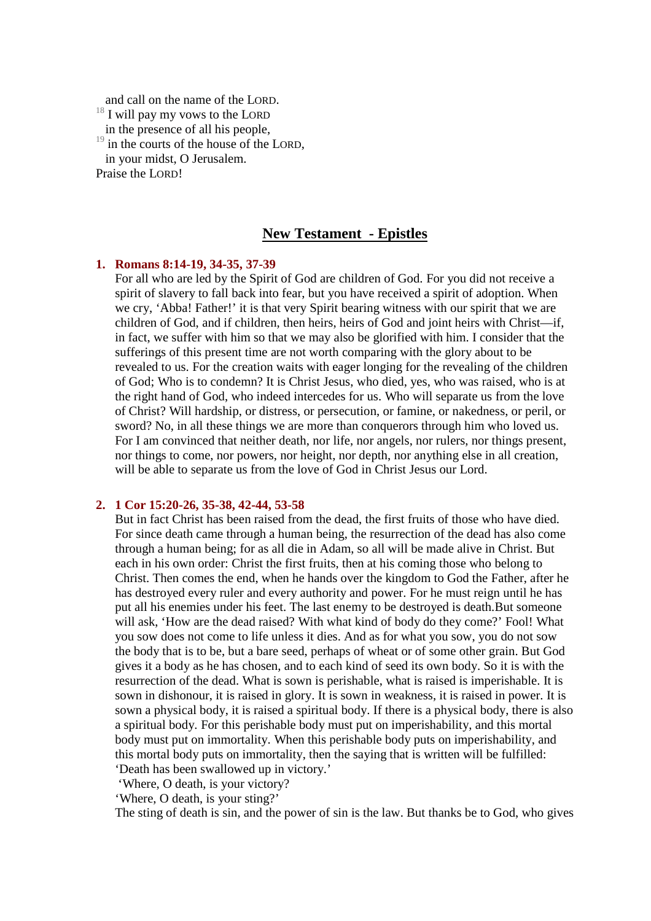and call on the name of the LORD.

 $^{18}$  I will pay my vows to the LORD

in the presence of all his people,

 $19$  in the courts of the house of the LORD,

in your midst, O Jerusalem.

Praise the LORD!

## **New Testament - Epistles**

#### **1. Romans 8:14-19, 34-35, 37-39**

For all who are led by the Spirit of God are children of God. For you did not receive a spirit of slavery to fall back into fear, but you have received a spirit of adoption. When we cry, 'Abba! Father!' it is that very Spirit bearing witness with our spirit that we are children of God, and if children, then heirs, heirs of God and joint heirs with Christ—if, in fact, we suffer with him so that we may also be glorified with him. I consider that the sufferings of this present time are not worth comparing with the glory about to be revealed to us. For the creation waits with eager longing for the revealing of the children of God; Who is to condemn? It is Christ Jesus, who died, yes, who was raised, who is at the right hand of God, who indeed intercedes for us. Who will separate us from the love of Christ? Will hardship, or distress, or persecution, or famine, or nakedness, or peril, or sword? No, in all these things we are more than conquerors through him who loved us. For I am convinced that neither death, nor life, nor angels, nor rulers, nor things present, nor things to come, nor powers, nor height, nor depth, nor anything else in all creation, will be able to separate us from the love of God in Christ Jesus our Lord.

### **2. 1 Cor 15:20-26, 35-38, 42-44, 53-58**

But in fact Christ has been raised from the dead, the first fruits of those who have died. For since death came through a human being, the resurrection of the dead has also come through a human being; for as all die in Adam, so all will be made alive in Christ. But each in his own order: Christ the first fruits, then at his coming those who belong to Christ. Then comes the end, when he hands over the kingdom to God the Father, after he has destroyed every ruler and every authority and power. For he must reign until he has put all his enemies under his feet. The last enemy to be destroyed is death.But someone will ask, 'How are the dead raised? With what kind of body do they come?' Fool! What you sow does not come to life unless it dies. And as for what you sow, you do not sow the body that is to be, but a bare seed, perhaps of wheat or of some other grain. But God gives it a body as he has chosen, and to each kind of seed its own body. So it is with the resurrection of the dead. What is sown is perishable, what is raised is imperishable. It is sown in dishonour, it is raised in glory. It is sown in weakness, it is raised in power. It is sown a physical body, it is raised a spiritual body. If there is a physical body, there is also a spiritual body. For this perishable body must put on imperishability, and this mortal body must put on immortality. When this perishable body puts on imperishability, and this mortal body puts on immortality, then the saying that is written will be fulfilled: 'Death has been swallowed up in victory.'

'Where, O death, is your victory?

'Where, O death, is your sting?'

The sting of death is sin, and the power of sin is the law. But thanks be to God, who gives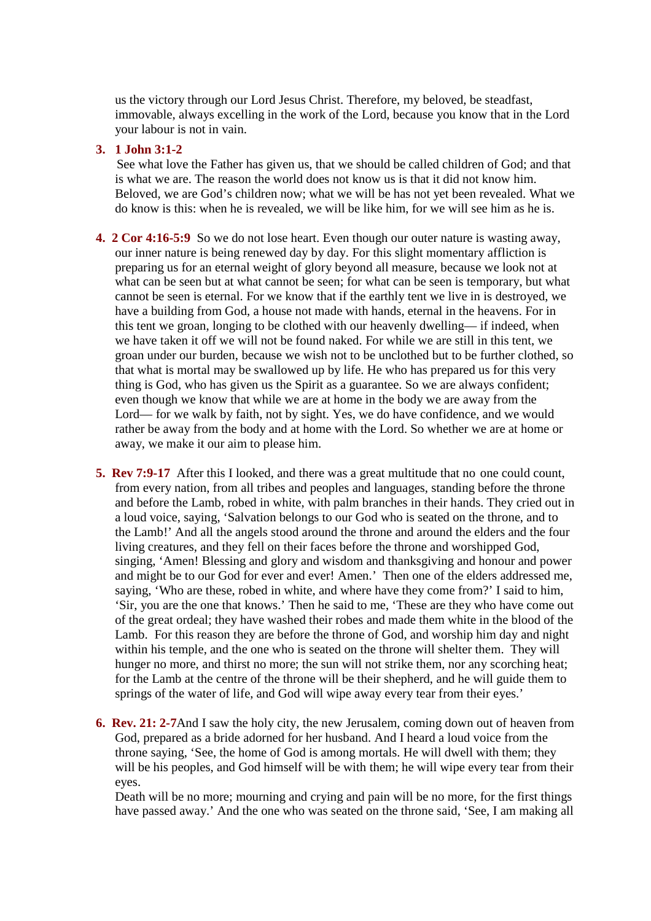us the victory through our Lord Jesus Christ. Therefore, my beloved, be steadfast, immovable, always excelling in the work of the Lord, because you know that in the Lord your labour is not in vain.

## **3. 1 John 3:1-2**

See what love the Father has given us, that we should be called children of God; and that is what we are. The reason the world does not know us is that it did not know him. Beloved, we are God's children now; what we will be has not yet been revealed. What we do know is this: when he is revealed, we will be like him, for we will see him as he is.

- **4. 2 Cor 4:16-5:9** So we do not lose heart. Even though our outer nature is wasting away, our inner nature is being renewed day by day. For this slight momentary affliction is preparing us for an eternal weight of glory beyond all measure, because we look not at what can be seen but at what cannot be seen; for what can be seen is temporary, but what cannot be seen is eternal. For we know that if the earthly tent we live in is destroyed, we have a building from God, a house not made with hands, eternal in the heavens. For in this tent we groan, longing to be clothed with our heavenly dwelling— if indeed, when we have taken it off we will not be found naked. For while we are still in this tent, we groan under our burden, because we wish not to be unclothed but to be further clothed, so that what is mortal may be swallowed up by life. He who has prepared us for this very thing is God, who has given us the Spirit as a guarantee. So we are always confident; even though we know that while we are at home in the body we are away from the Lord— for we walk by faith, not by sight. Yes, we do have confidence, and we would rather be away from the body and at home with the Lord. So whether we are at home or away, we make it our aim to please him.
- **5. Rev 7:9-17** After this I looked, and there was a great multitude that no one could count, from every nation, from all tribes and peoples and languages, standing before the throne and before the Lamb, robed in white, with palm branches in their hands. They cried out in a loud voice, saying, 'Salvation belongs to our God who is seated on the throne, and to the Lamb!' And all the angels stood around the throne and around the elders and the four living creatures, and they fell on their faces before the throne and worshipped God, singing, 'Amen! Blessing and glory and wisdom and thanksgiving and honour and power and might be to our God for ever and ever! Amen.' Then one of the elders addressed me, saying, 'Who are these, robed in white, and where have they come from?' I said to him, 'Sir, you are the one that knows.' Then he said to me, 'These are they who have come out of the great ordeal; they have washed their robes and made them white in the blood of the Lamb. For this reason they are before the throne of God, and worship him day and night within his temple, and the one who is seated on the throne will shelter them. They will hunger no more, and thirst no more; the sun will not strike them, nor any scorching heat; for the Lamb at the centre of the throne will be their shepherd, and he will guide them to springs of the water of life, and God will wipe away every tear from their eyes.'
- **6. Rev. 21: 2-7**And I saw the holy city, the new Jerusalem, coming down out of heaven from God, prepared as a bride adorned for her husband. And I heard a loud voice from the throne saying, 'See, the home of God is among mortals. He will dwell with them; they will be his peoples, and God himself will be with them; he will wipe every tear from their eyes.

Death will be no more; mourning and crying and pain will be no more, for the first things have passed away.' And the one who was seated on the throne said, 'See, I am making all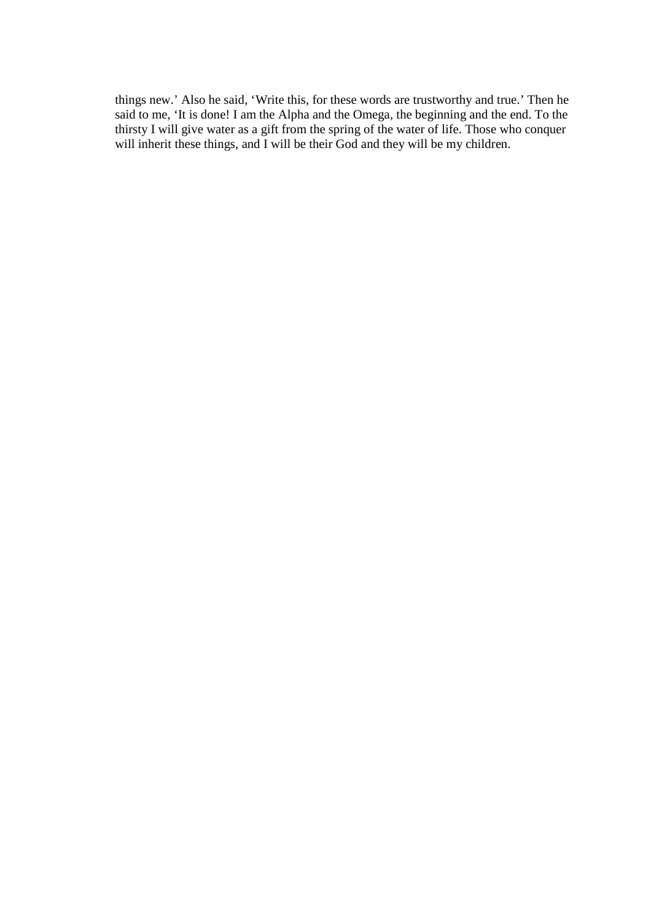things new.' Also he said, 'Write this, for these words are trustworthy and true.' Then he said to me, 'It is done! I am the Alpha and the Omega, the beginning and the end. To the thirsty I will give water as a gift from the spring of the water of life. Those who conquer will inherit these things, and I will be their God and they will be my children.